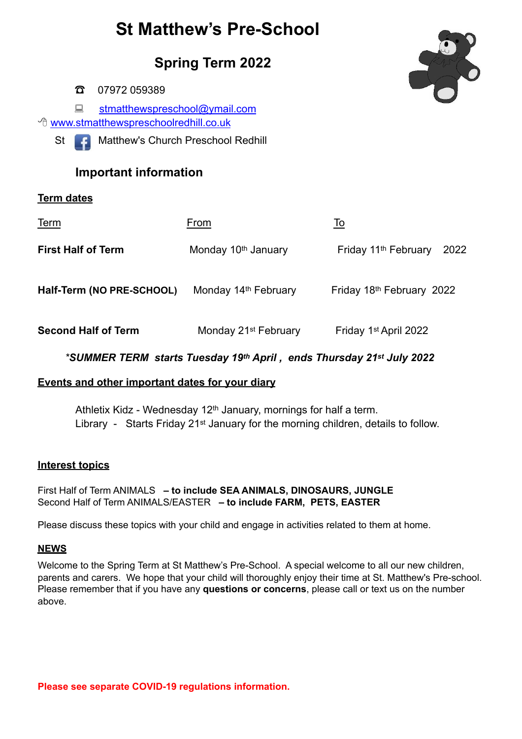# **St Matthew's Pre-School**

**Spring Term 2022**

☎ 07972 059389

**E** stmatthewspreschool@ymail.com <sup><sup>®</sup> [www.stmatthewspreschoolredhill.co.uk](http://www.stmatthewspreschoolredhill.co.uk/)</sup>



St **C** Matthew's Church Preschool Redhill

# **Important information**

## **Term dates**

| <u>Term</u>                | From                             | <u>To</u>                                |
|----------------------------|----------------------------------|------------------------------------------|
| <b>First Half of Term</b>  | Monday 10th January              | Friday 11 <sup>th</sup> February<br>2022 |
| Half-Term (NO PRE-SCHOOL)  | Monday 14 <sup>th</sup> February | Friday 18th February 2022                |
| <b>Second Half of Term</b> | Monday 21 <sup>st</sup> February | Friday 1 <sup>st</sup> April 2022        |

#### *\*SUMMER TERM starts Tuesday 19th April , ends Thursday 21st July 2022*

### **Events and other important dates for your diary**

Athletix Kidz - Wednesday 12<sup>th</sup> January, mornings for half a term. Library - Starts Friday 21<sup>st</sup> January for the morning children, details to follow.

#### **Interest topics**

First Half of Term ANIMALS **– to include SEA ANIMALS, DINOSAURS, JUNGLE**  Second Half of Term ANIMALS/EASTER **– to include FARM, PETS, EASTER** 

Please discuss these topics with your child and engage in activities related to them at home.

#### **NEWS**

Welcome to the Spring Term at St Matthew's Pre-School. A special welcome to all our new children, parents and carers. We hope that your child will thoroughly enjoy their time at St. Matthew's Pre-school. Please remember that if you have any **questions or concerns**, please call or text us on the number above.

**Please see separate COVID-19 regulations information.**